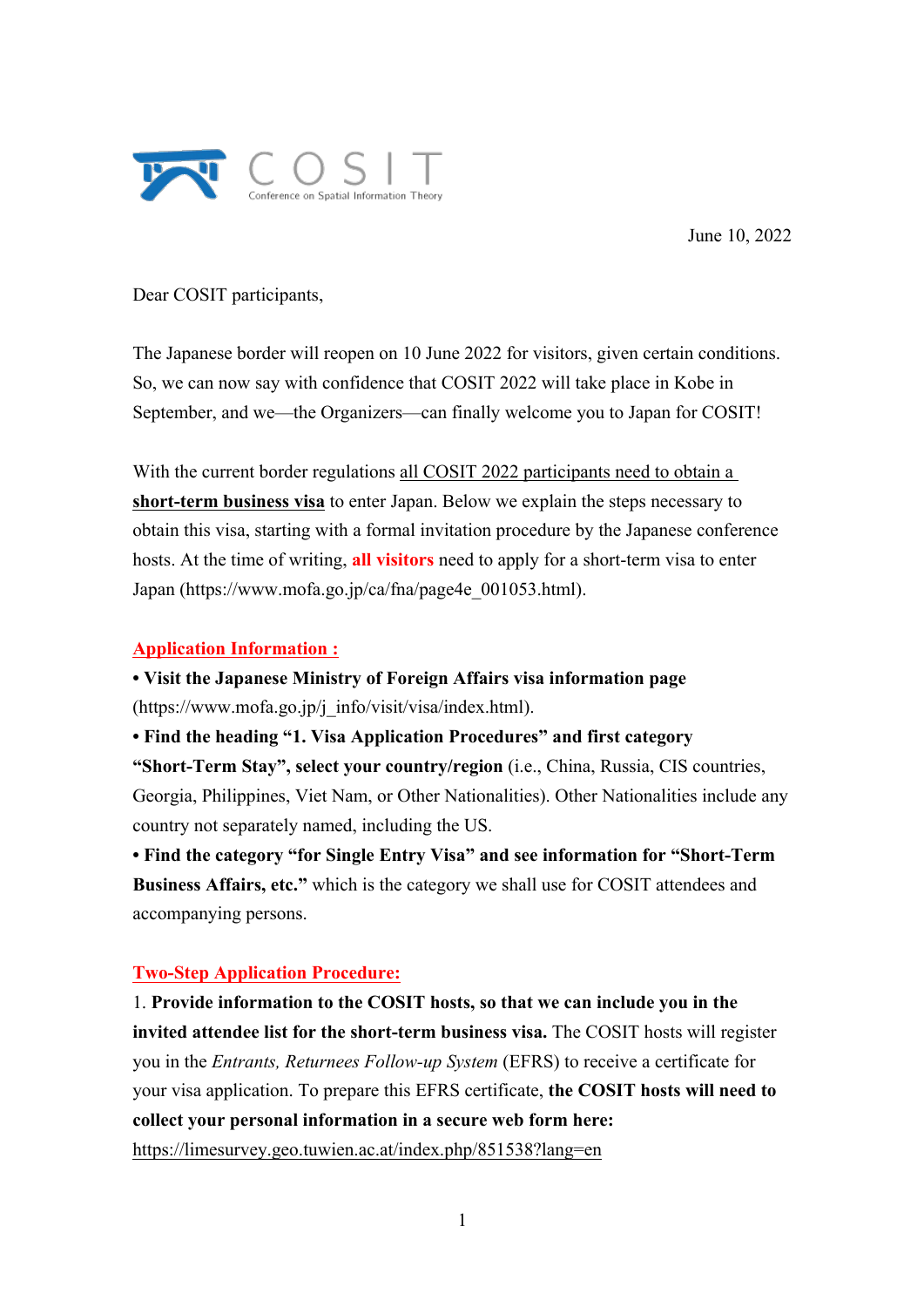

June 10, 2022

Dear COSIT participants,

The Japanese border will reopen on 10 June 2022 for visitors, given certain conditions. So, we can now say with confidence that COSIT 2022 will take place in Kobe in September, and we—the Organizers—can finally welcome you to Japan for COSIT!

With the current border regulations all COSIT 2022 participants need to obtain a **short-term business visa** to enter Japan. Below we explain the steps necessary to obtain this visa, starting with a formal invitation procedure by the Japanese conference hosts. At the time of writing, **all visitors** need to apply for a short-term visa to enter Japan (https://www.mofa.go.jp/ca/fna/page4e\_001053.html).

## **Application Information :**

**• Visit the Japanese Ministry of Foreign Affairs visa information page** (https://www.mofa.go.jp/j\_info/visit/visa/index.html).

**• Find the heading "1. Visa Application Procedures" and first category "Short-Term Stay", select your country/region** (i.e., China, Russia, CIS countries, Georgia, Philippines, Viet Nam, or Other Nationalities). Other Nationalities include any country not separately named, including the US.

**• Find the category "for Single Entry Visa" and see information for "Short-Term Business Affairs, etc."** which is the category we shall use for COSIT attendees and accompanying persons.

## **Two-Step Application Procedure:**

1. **Provide information to the COSIT hosts, so that we can include you in the invited attendee list for the short-term business visa.** The COSIT hosts will register you in the *Entrants, Returnees Follow-up System* (EFRS) to receive a certificate for your visa application. To prepare this EFRS certificate, **the COSIT hosts will need to collect your personal information in a secure web form here:** https://limesurvey.geo.tuwien.ac.at/index.php/851538?lang=en